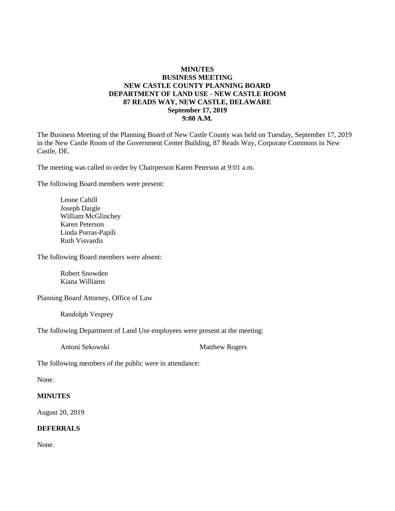## **MINUTES BUSINESS MEETING NEW CASTLE COUNTY PLANNING BOARD DEPARTMENT OF LAND USE - NEW CASTLE ROOM 87 READS WAY, NEW CASTLE, DELAWARE September 17, 2019 9:00 A.M.**

The Business Meeting of the Planning Board of New Castle County was held on Tuesday, September 17, 2019 in the New Castle Room of the Government Center Building, 87 Reads Way, Corporate Commons in New Castle, DE.

The meeting was called to order by Chairperson Karen Peterson at 9:01 a.m.

The following Board members were present:

Leone Cahill Joseph Daigle William McGlinchey Karen Peterson Linda Porras-Papili Ruth Visvardis

The following Board members were absent:

Robert Snowden Kiana Williams

Planning Board Attorney, Office of Law

Randolph Vesprey

The following Department of Land Use employees were present at the meeting:

Antoni Sekowski Matthew Rogers

The following members of the public were in attendance:

None.

#### **MINUTES**

August 20, 2019

## **DEFERRALS**

None.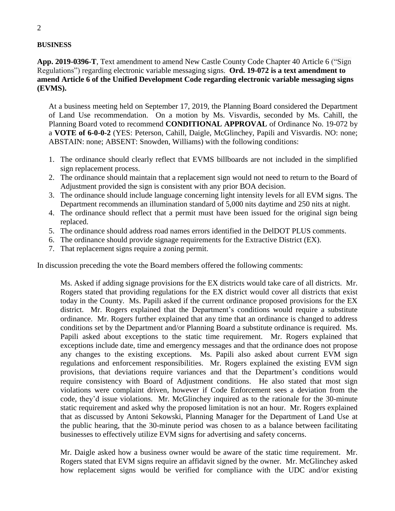# **BUSINESS**

**App. 2019-0396-T**, Text amendment to amend New Castle County Code Chapter 40 Article 6 ("Sign Regulations") regarding electronic variable messaging signs. **Ord. 19-072 is a text amendment to amend Article 6 of the Unified Development Code regarding electronic variable messaging signs (EVMS).**

At a business meeting held on September 17, 2019, the Planning Board considered the Department of Land Use recommendation. On a motion by Ms. Visvardis, seconded by Ms. Cahill, the Planning Board voted to recommend **CONDITIONAL APPROVAL** of Ordinance No. 19-072 by a **VOTE of 6-0-0-2** (YES: Peterson, Cahill, Daigle, McGlinchey, Papili and Visvardis. NO: none; ABSTAIN: none; ABSENT: Snowden, Williams) with the following conditions:

- 1. The ordinance should clearly reflect that EVMS billboards are not included in the simplified sign replacement process.
- 2. The ordinance should maintain that a replacement sign would not need to return to the Board of Adjustment provided the sign is consistent with any prior BOA decision.
- 3. The ordinance should include language concerning light intensity levels for all EVM signs. The Department recommends an illumination standard of 5,000 nits daytime and 250 nits at night.
- 4. The ordinance should reflect that a permit must have been issued for the original sign being replaced.
- 5. The ordinance should address road names errors identified in the DelDOT PLUS comments.
- 6. The ordinance should provide signage requirements for the Extractive District (EX).
- 7. That replacement signs require a zoning permit.

In discussion preceding the vote the Board members offered the following comments:

Ms. Asked if adding signage provisions for the EX districts would take care of all districts. Mr. Rogers stated that providing regulations for the EX district would cover all districts that exist today in the County. Ms. Papili asked if the current ordinance proposed provisions for the EX district. Mr. Rogers explained that the Department's conditions would require a substitute ordinance. Mr. Rogers further explained that any time that an ordinance is changed to address conditions set by the Department and/or Planning Board a substitute ordinance is required. Ms. Papili asked about exceptions to the static time requirement. Mr. Rogers explained that exceptions include date, time and emergency messages and that the ordinance does not propose any changes to the existing exceptions. Ms. Papili also asked about current EVM sign regulations and enforcement responsibilities. Mr. Rogers explained the existing EVM sign provisions, that deviations require variances and that the Department's conditions would require consistency with Board of Adjustment conditions. He also stated that most sign violations were complaint driven, however if Code Enforcement sees a deviation from the code, they'd issue violations. Mr. McGlinchey inquired as to the rationale for the 30-minute static requirement and asked why the proposed limitation is not an hour. Mr. Rogers explained that as discussed by Antoni Sekowski, Planning Manager for the Department of Land Use at the public hearing, that the 30-minute period was chosen to as a balance between facilitating businesses to effectively utilize EVM signs for advertising and safety concerns.

Mr. Daigle asked how a business owner would be aware of the static time requirement. Mr. Rogers stated that EVM signs require an affidavit signed by the owner. Mr. McGlinchey asked how replacement signs would be verified for compliance with the UDC and/or existing